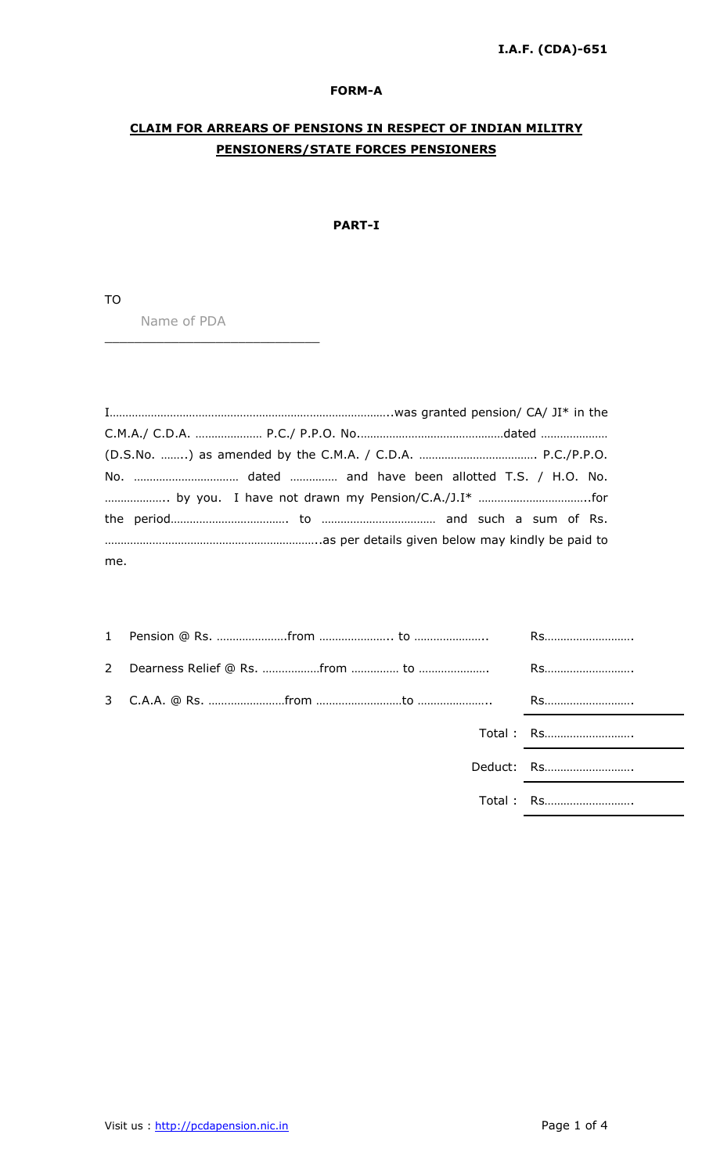### FORM-A

# CLAIM FOR ARREARS OF PENSIONS IN RESPECT OF INDIAN MILITRY PENSIONERS/STATE FORCES PENSIONERS

# PART-I

TO

Name of PDA

\_\_\_\_\_\_\_\_\_\_\_\_\_\_\_\_\_\_\_\_\_\_\_\_\_\_\_\_\_

| me. |  |  |  |
|-----|--|--|--|

|  |  | Total: Rs  |
|--|--|------------|
|  |  | Deduct: Rs |
|  |  | Total: Rs  |
|  |  |            |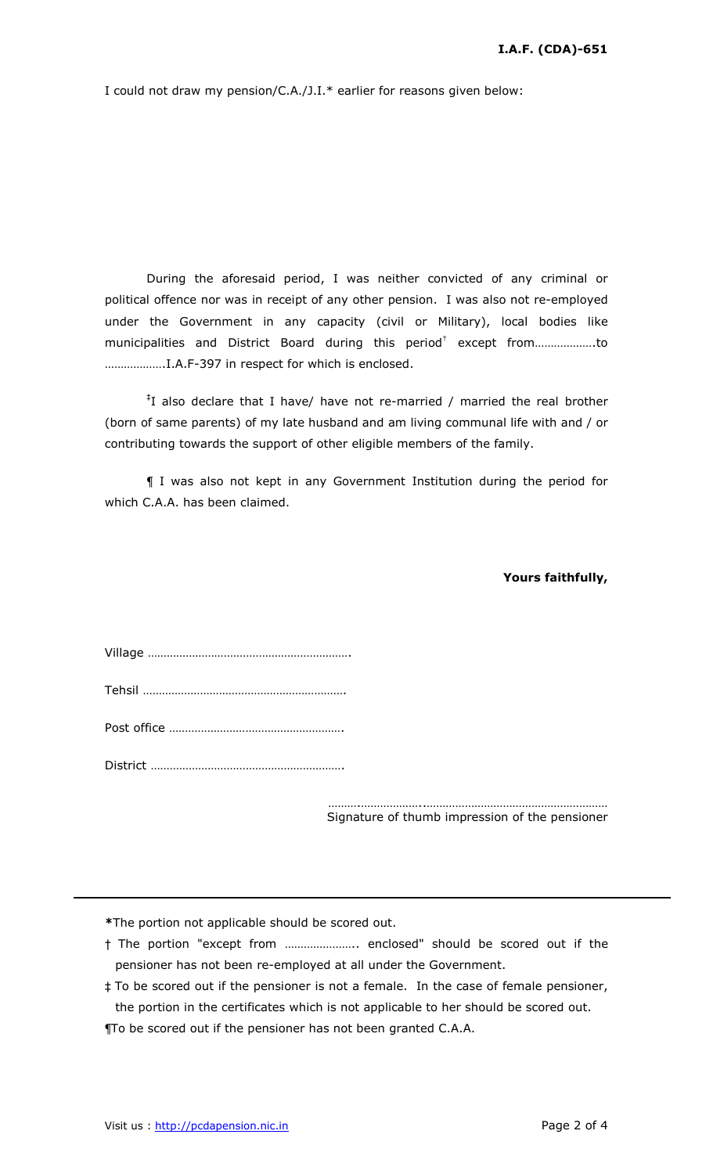I could not draw my pension/C.A./J.I.\* earlier for reasons given below:

During the aforesaid period, I was neither convicted of any criminal or political offence nor was in receipt of any other pension. I was also not re-employed under the Government in any capacity (civil or Military), local bodies like municipalities and District Board during this period † except from……………….to ……………….I.A.F-397 in respect for which is enclosed.

‡ I also declare that I have/ have not re-married / married the real brother (born of same parents) of my late husband and am living communal life with and / or contributing towards the support of other eligible members of the family.

¶ I was also not kept in any Government Institution during the period for which C.A.A. has been claimed.

#### Yours faithfully,

……….………………..………………………………………………… Signature of thumb impression of the pensioner

\*The portion not applicable should be scored out.

- † The portion "except from ………………….. enclosed" should be scored out if the pensioner has not been re-employed at all under the Government.
- ‡ To be scored out if the pensioner is not a female. In the case of female pensioner, the portion in the certificates which is not applicable to her should be scored out.

¶To be scored out if the pensioner has not been granted C.A.A.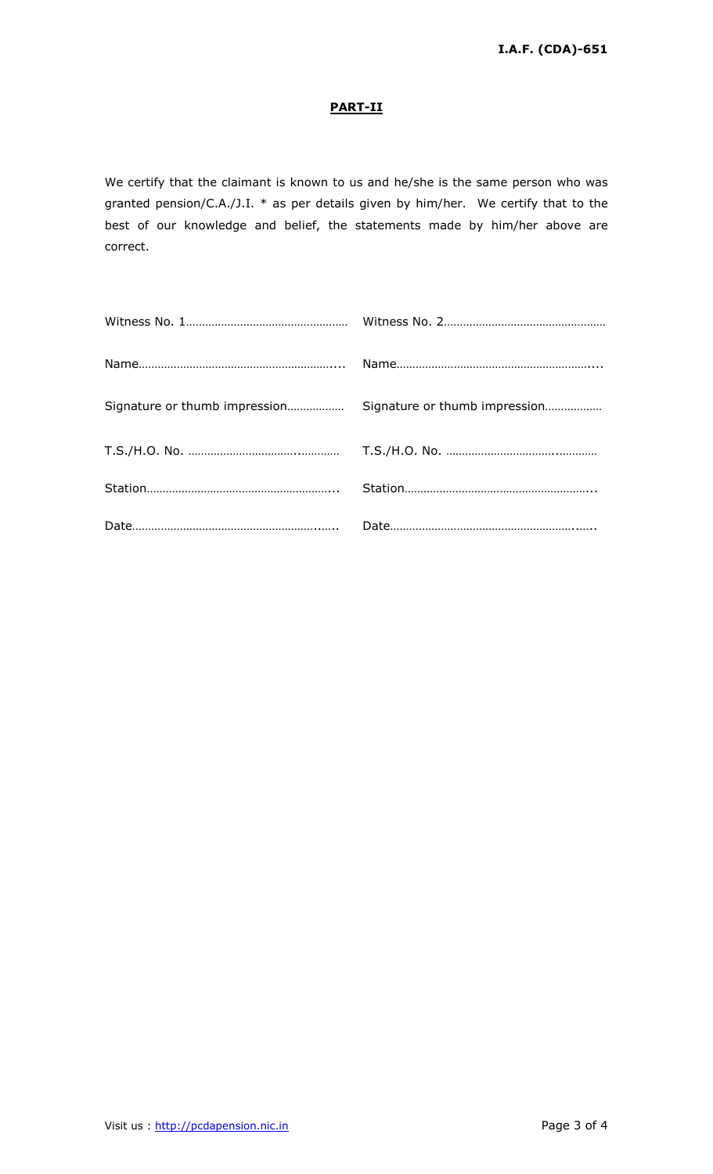# PART-II

We certify that the claimant is known to us and he/she is the same person who was granted pension/C.A./J.I. \* as per details given by him/her. We certify that to the best of our knowledge and belief, the statements made by him/her above are correct.